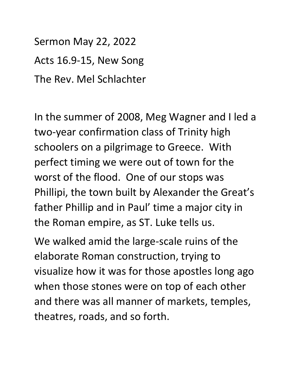Sermon May 22, 2022 Acts 16.9-15, New Song The Rev. Mel Schlachter

In the summer of 2008, Meg Wagner and I led a two-year confirmation class of Trinity high schoolers on a pilgrimage to Greece. With perfect timing we were out of town for the worst of the flood. One of our stops was Phillipi, the town built by Alexander the Great's father Phillip and in Paul' time a major city in the Roman empire, as ST. Luke tells us.

We walked amid the large-scale ruins of the elaborate Roman construction, trying to visualize how it was for those apostles long ago when those stones were on top of each other and there was all manner of markets, temples, theatres, roads, and so forth.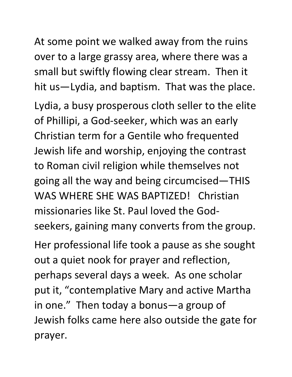At some point we walked away from the ruins over to a large grassy area, where there was a small but swiftly flowing clear stream. Then it hit us—Lydia, and baptism. That was the place.

Lydia, a busy prosperous cloth seller to the elite of Phillipi, a God-seeker, which was an early Christian term for a Gentile who frequented Jewish life and worship, enjoying the contrast to Roman civil religion while themselves not going all the way and being circumcised—THIS WAS WHERE SHE WAS BAPTIZED! Christian missionaries like St. Paul loved the Godseekers, gaining many converts from the group. Her professional life took a pause as she sought

out a quiet nook for prayer and reflection, perhaps several days a week. As one scholar put it, "contemplative Mary and active Martha in one." Then today a bonus—a group of Jewish folks came here also outside the gate for prayer.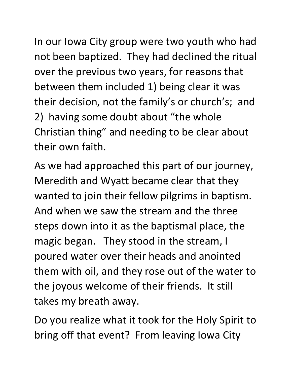In our Iowa City group were two youth who had not been baptized. They had declined the ritual over the previous two years, for reasons that between them included 1) being clear it was their decision, not the family's or church's; and 2) having some doubt about "the whole Christian thing" and needing to be clear about their own faith.

As we had approached this part of our journey, Meredith and Wyatt became clear that they wanted to join their fellow pilgrims in baptism. And when we saw the stream and the three steps down into it as the baptismal place, the magic began. They stood in the stream, I poured water over their heads and anointed them with oil, and they rose out of the water to the joyous welcome of their friends. It still takes my breath away.

Do you realize what it took for the Holy Spirit to bring off that event? From leaving Iowa City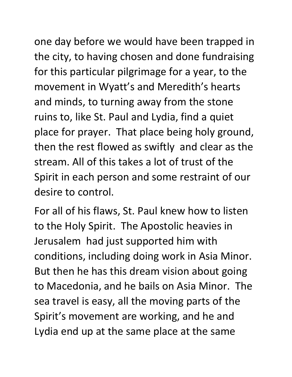one day before we would have been trapped in the city, to having chosen and done fundraising for this particular pilgrimage for a year, to the movement in Wyatt's and Meredith's hearts and minds, to turning away from the stone ruins to, like St. Paul and Lydia, find a quiet place for prayer. That place being holy ground, then the rest flowed as swiftly and clear as the stream. All of this takes a lot of trust of the Spirit in each person and some restraint of our desire to control.

For all of his flaws, St. Paul knew how to listen to the Holy Spirit. The Apostolic heavies in Jerusalem had just supported him with conditions, including doing work in Asia Minor. But then he has this dream vision about going to Macedonia, and he bails on Asia Minor. The sea travel is easy, all the moving parts of the Spirit's movement are working, and he and Lydia end up at the same place at the same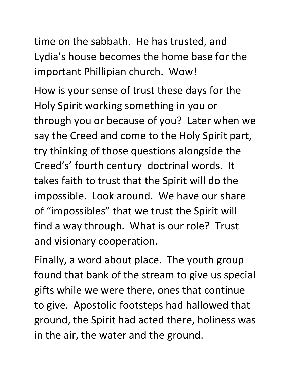time on the sabbath. He has trusted, and Lydia's house becomes the home base for the important Phillipian church. Wow!

How is your sense of trust these days for the Holy Spirit working something in you or through you or because of you? Later when we say the Creed and come to the Holy Spirit part, try thinking of those questions alongside the Creed's' fourth century doctrinal words. It takes faith to trust that the Spirit will do the impossible. Look around. We have our share of "impossibles" that we trust the Spirit will find a way through. What is our role? Trust and visionary cooperation.

Finally, a word about place. The youth group found that bank of the stream to give us special gifts while we were there, ones that continue to give. Apostolic footsteps had hallowed that ground, the Spirit had acted there, holiness was in the air, the water and the ground.